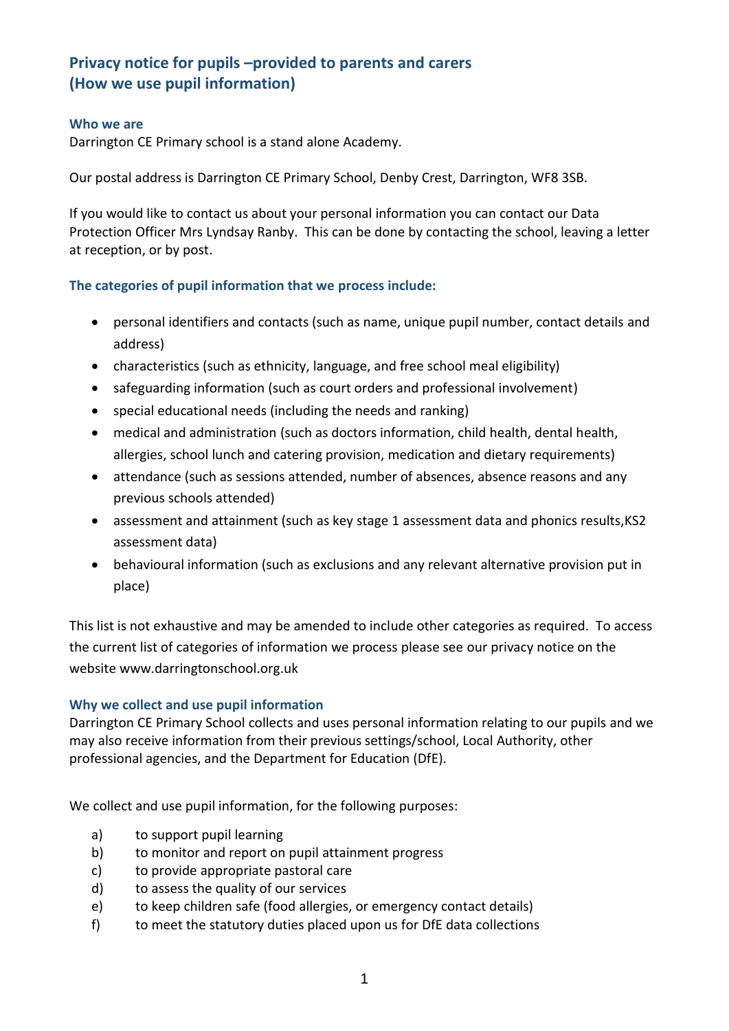# **Privacy notice for pupils –provided to parents and carers (How we use pupil information)**

#### **Who we are**

Darrington CE Primary school is a stand alone Academy.

Our postal address is Darrington CE Primary School, Denby Crest, Darrington, WF8 3SB.

If you would like to contact us about your personal information you can contact our Data Protection Officer Mrs Lyndsay Ranby. This can be done by contacting the school, leaving a letter at reception, or by post.

#### **The categories of pupil information that we process include:**

- personal identifiers and contacts (such as name, unique pupil number, contact details and address)
- characteristics (such as ethnicity, language, and free school meal eligibility)
- safeguarding information (such as court orders and professional involvement)
- special educational needs (including the needs and ranking)
- medical and administration (such as doctors information, child health, dental health, allergies, school lunch and catering provision, medication and dietary requirements)
- attendance (such as sessions attended, number of absences, absence reasons and any previous schools attended)
- assessment and attainment (such as key stage 1 assessment data and phonics results,KS2 assessment data)
- behavioural information (such as exclusions and any relevant alternative provision put in place)

This list is not exhaustive and may be amended to include other categories as required. To access the current list of categories of information we process please see our privacy notice on the website www.darringtonschool.org.uk

#### **Why we collect and use pupil information**

Darrington CE Primary School collects and uses personal information relating to our pupils and we may also receive information from their previous settings/school, Local Authority, other professional agencies, and the Department for Education (DfE).

We collect and use pupil information, for the following purposes:

- a) to support pupil learning
- b) to monitor and report on pupil attainment progress
- c) to provide appropriate pastoral care
- d) to assess the quality of our services
- e) to keep children safe (food allergies, or emergency contact details)
- f) to meet the statutory duties placed upon us for DfE data collections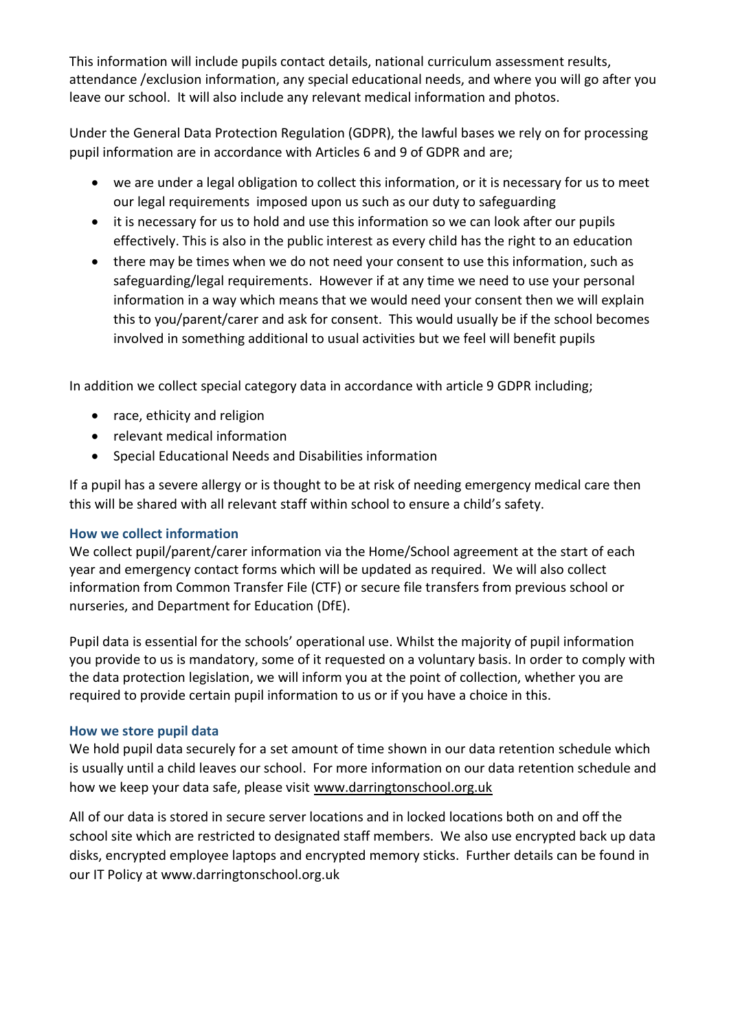This information will include pupils contact details, national curriculum assessment results, attendance /exclusion information, any special educational needs, and where you will go after you leave our school. It will also include any relevant medical information and photos.

Under the General Data Protection Regulation (GDPR), the lawful bases we rely on for processing pupil information are in accordance with Articles 6 and 9 of GDPR and are;

- we are under a legal obligation to collect this information, or it is necessary for us to meet our legal requirements imposed upon us such as our duty to safeguarding
- it is necessary for us to hold and use this information so we can look after our pupils effectively. This is also in the public interest as every child has the right to an education
- there may be times when we do not need your consent to use this information, such as safeguarding/legal requirements. However if at any time we need to use your personal information in a way which means that we would need your consent then we will explain this to you/parent/carer and ask for consent. This would usually be if the school becomes involved in something additional to usual activities but we feel will benefit pupils

In addition we collect special category data in accordance with article 9 GDPR including;

- race, ethicity and religion
- relevant medical information
- Special Educational Needs and Disabilities information

If a pupil has a severe allergy or is thought to be at risk of needing emergency medical care then this will be shared with all relevant staff within school to ensure a child's safety.

# **How we collect information**

We collect pupil/parent/carer information via the Home/School agreement at the start of each year and emergency contact forms which will be updated as required. We will also collect information from Common Transfer File (CTF) or secure file transfers from previous school or nurseries, and Department for Education (DfE).

Pupil data is essential for the schools' operational use. Whilst the majority of pupil information you provide to us is mandatory, some of it requested on a voluntary basis. In order to comply with the data protection legislation, we will inform you at the point of collection, whether you are required to provide certain pupil information to us or if you have a choice in this.

# **How we store pupil data**

We hold pupil data securely for a set amount of time shown in our data retention schedule which is usually until a child leaves our school. For more information on our data retention schedule and how we keep your data safe, please visit [www.darringtonschool.org.uk](http://www.darringtonschool.org.uk/)

All of our data is stored in secure server locations and in locked locations both on and off the school site which are restricted to designated staff members. We also use encrypted back up data disks, encrypted employee laptops and encrypted memory sticks. Further details can be found in our IT Policy at www.darringtonschool.org.uk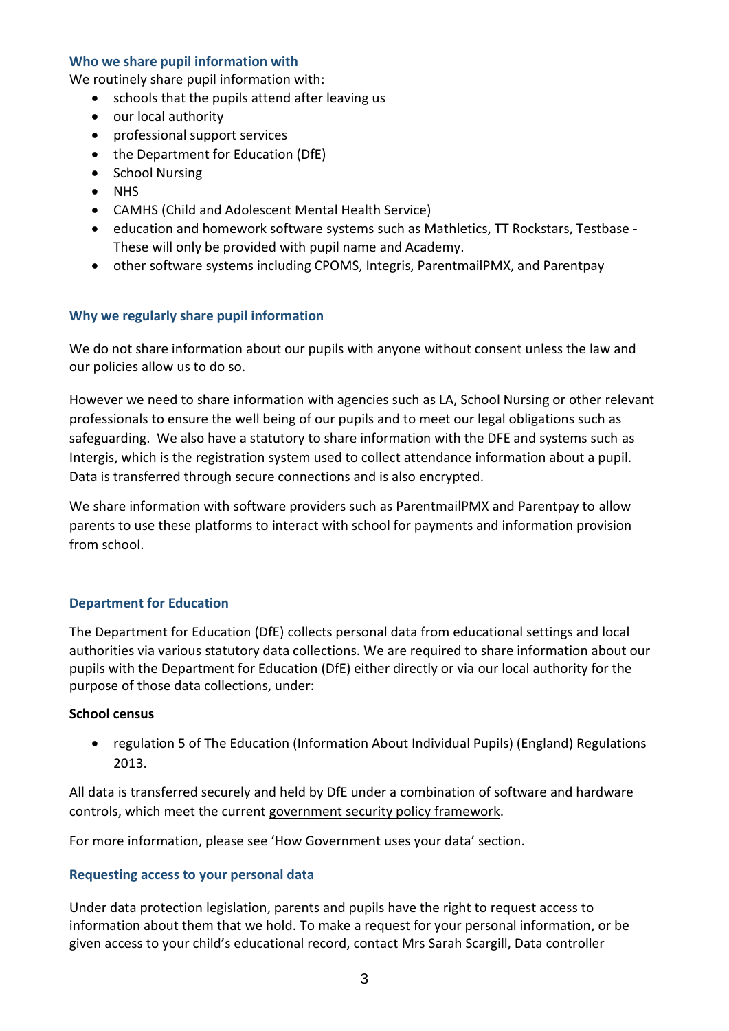#### **Who we share pupil information with**

We routinely share pupil information with:

- schools that the pupils attend after leaving us
- our local authority
- professional support services
- the Department for Education (DfE)
- School Nursing
- NHS
- CAMHS (Child and Adolescent Mental Health Service)
- education and homework software systems such as Mathletics, TT Rockstars, Testbase -These will only be provided with pupil name and Academy.
- other software systems including CPOMS, Integris, ParentmailPMX, and Parentpay

#### **Why we regularly share pupil information**

We do not share information about our pupils with anyone without consent unless the law and our policies allow us to do so.

However we need to share information with agencies such as LA, School Nursing or other relevant professionals to ensure the well being of our pupils and to meet our legal obligations such as safeguarding. We also have a statutory to share information with the DFE and systems such as Intergis, which is the registration system used to collect attendance information about a pupil. Data is transferred through secure connections and is also encrypted.

We share information with software providers such as ParentmailPMX and Parentpay to allow parents to use these platforms to interact with school for payments and information provision from school.

#### **Department for Education**

The Department for Education (DfE) collects personal data from educational settings and local authorities via various statutory data collections. We are required to share information about our pupils with the Department for Education (DfE) either directly or via our local authority for the purpose of those data collections, under:

#### **School census**

 regulation 5 of The Education (Information About Individual Pupils) (England) Regulations 2013.

All data is transferred securely and held by DfE under a combination of software and hardware controls, which meet the current [government security policy framework.](https://www.gov.uk/government/publications/security-policy-framework)

For more information, please see 'How Government uses your data' section.

#### **Requesting access to your personal data**

Under data protection legislation, parents and pupils have the right to request access to information about them that we hold. To make a request for your personal information, or be given access to your child's educational record, contact Mrs Sarah Scargill, Data controller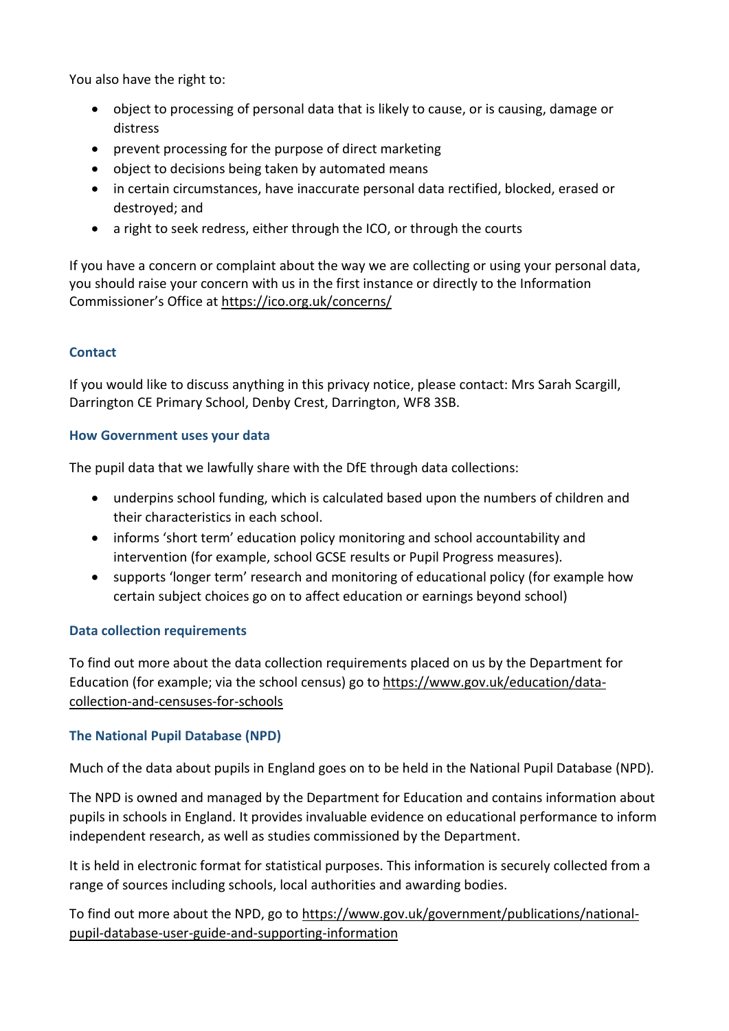You also have the right to:

- object to processing of personal data that is likely to cause, or is causing, damage or distress
- prevent processing for the purpose of direct marketing
- object to decisions being taken by automated means
- in certain circumstances, have inaccurate personal data rectified, blocked, erased or destroyed; and
- a right to seek redress, either through the ICO, or through the courts

If you have a concern or complaint about the way we are collecting or using your personal data, you should raise your concern with us in the first instance or directly to the Information Commissioner's Office at <https://ico.org.uk/concerns/>

# **Contact**

If you would like to discuss anything in this privacy notice, please contact: Mrs Sarah Scargill, Darrington CE Primary School, Denby Crest, Darrington, WF8 3SB.

#### **How Government uses your data**

The pupil data that we lawfully share with the DfE through data collections:

- underpins school funding, which is calculated based upon the numbers of children and their characteristics in each school.
- informs 'short term' education policy monitoring and school accountability and intervention (for example, school GCSE results or Pupil Progress measures).
- supports 'longer term' research and monitoring of educational policy (for example how certain subject choices go on to affect education or earnings beyond school)

# **Data collection requirements**

To find out more about the data collection requirements placed on us by the Department for Education (for example; via the school census) go to [https://www.gov.uk/education/data](https://www.gov.uk/education/data-collection-and-censuses-for-schools)[collection-and-censuses-for-schools](https://www.gov.uk/education/data-collection-and-censuses-for-schools)

# **The National Pupil Database (NPD)**

Much of the data about pupils in England goes on to be held in the National Pupil Database (NPD).

The NPD is owned and managed by the Department for Education and contains information about pupils in schools in England. It provides invaluable evidence on educational performance to inform independent research, as well as studies commissioned by the Department.

It is held in electronic format for statistical purposes. This information is securely collected from a range of sources including schools, local authorities and awarding bodies.

To find out more about the NPD, go to [https://www.gov.uk/government/publications/national](https://www.gov.uk/government/publications/national-pupil-database-user-guide-and-supporting-information)[pupil-database-user-guide-and-supporting-information](https://www.gov.uk/government/publications/national-pupil-database-user-guide-and-supporting-information)